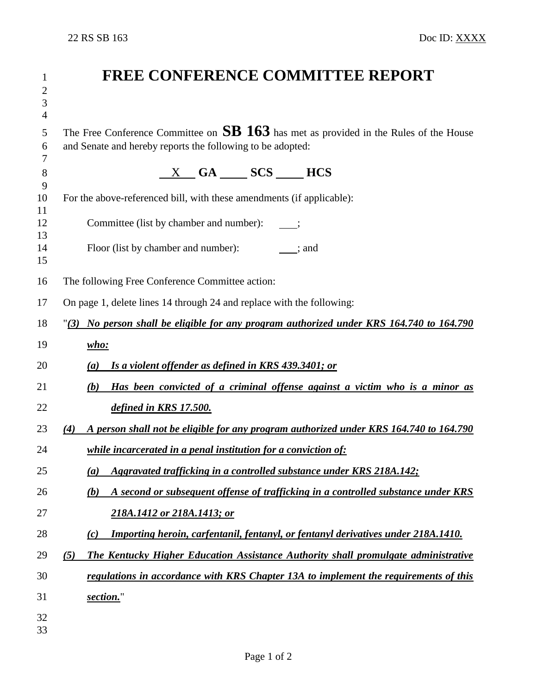| 1<br>$\mathbf{2}$<br>3<br>$\overline{4}$ | <b>FREE CONFERENCE COMMITTEE REPORT</b>                                                                                                               |  |  |
|------------------------------------------|-------------------------------------------------------------------------------------------------------------------------------------------------------|--|--|
| 5<br>6<br>7                              | The Free Conference Committee on $SB$ 163 has met as provided in the Rules of the House<br>and Senate and hereby reports the following to be adopted: |  |  |
| 8<br>9                                   | $X$ GA $SCS$ HCS                                                                                                                                      |  |  |
| 10                                       | For the above-referenced bill, with these amendments (if applicable):                                                                                 |  |  |
| 11<br>12<br>13                           | Committee (list by chamber and number):                                                                                                               |  |  |
| 14<br>15                                 | Floor (list by chamber and number): ; and                                                                                                             |  |  |
| 16                                       | The following Free Conference Committee action:                                                                                                       |  |  |
| 17                                       | On page 1, delete lines 14 through 24 and replace with the following:                                                                                 |  |  |
| 18                                       | "(3) No person shall be eligible for any program authorized under KRS 164.740 to 164.790                                                              |  |  |
| 19                                       | $who:$                                                                                                                                                |  |  |
| 20                                       | Is a violent offender as defined in KRS 439.3401; or<br>(a)                                                                                           |  |  |
| 21                                       | Has been convicted of a criminal offense against a victim who is a minor as<br>(b)                                                                    |  |  |
| 22                                       | defined in KRS 17.500.                                                                                                                                |  |  |
| 23                                       | A person shall not be eligible for any program authorized under KRS 164.740 to 164.790<br>(4)                                                         |  |  |
| 24                                       | <i>while incarcerated in a penal institution for a conviction of:</i>                                                                                 |  |  |
| 25                                       | Aggravated trafficking in a controlled substance under KRS 218A.142;<br>$\left(a\right)$                                                              |  |  |
| 26                                       | A second or subsequent offense of trafficking in a controlled substance under KRS<br>(b)                                                              |  |  |
| 27                                       | 218A.1412 or 218A.1413; or                                                                                                                            |  |  |
| 28                                       | Importing heroin, carfentanil, fentanyl, or fentanyl derivatives under 218A.1410.<br>(c)                                                              |  |  |
| 29                                       | The Kentucky Higher Education Assistance Authority shall promulgate administrative<br>(5)                                                             |  |  |
| 30                                       | regulations in accordance with KRS Chapter 13A to implement the requirements of this                                                                  |  |  |
| 31                                       | section."                                                                                                                                             |  |  |
| 32<br>33                                 |                                                                                                                                                       |  |  |